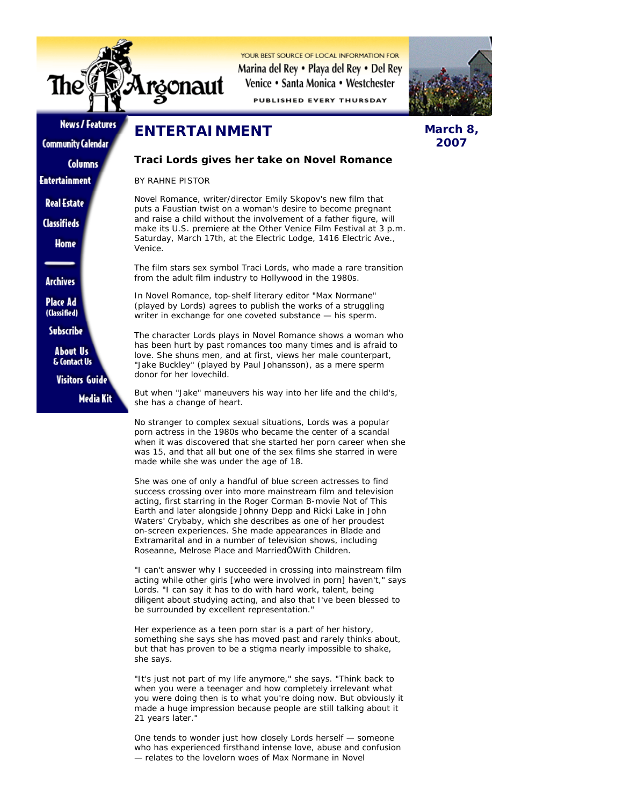

YOUR REST SOURCE OF LOCAL INFORMATION FOR Marina del Rey • Playa del Rey • Del Rey Venice • Santa Monica • Westchester

**PUBLISHED EVERY THURSDAY** 



## **News / Features**

**Community Calendar Columns** 

**Entertainment** 

**Real Estate** 

**Classifieds** 

Home

**Archives** 

**Place Ad** (Classified)

Subscribe

**About Us** & Contact Us

**Visitors Guide Media Kit** 

**ENTERTAINMENT**

## **Traci Lords gives her take on Novel Romance**

*BY RAHNE PISTOR*

Novel Romance, writer/director Emily Skopov's new film that puts a Faustian twist on a woman's desire to become pregnant and raise a child without the involvement of a father figure, will make its U.S. premiere at the Other Venice Film Festival at 3 p.m. Saturday, March 17th, at the Electric Lodge, 1416 Electric Ave., Venice.

The film stars sex symbol Traci Lords, who made a rare transition from the adult film industry to Hollywood in the 1980s.

In Novel Romance, top-shelf literary editor "Max Normane" (played by Lords) agrees to publish the works of a struggling writer in exchange for one coveted substance — his sperm.

The character Lords plays in Novel Romance shows a woman who has been hurt by past romances too many times and is afraid to love. She shuns men, and at first, views her male counterpart, "Jake Buckley" (played by Paul Johansson), as a mere sperm donor for her lovechild.

But when "Jake" maneuvers his way into her life and the child's, she has a change of heart.

No stranger to complex sexual situations, Lords was a popular porn actress in the 1980s who became the center of a scandal when it was discovered that she started her porn career when she was 15, and that all but one of the sex films she starred in were made while she was under the age of 18.

She was one of only a handful of blue screen actresses to find success crossing over into more mainstream film and television acting, first starring in the Roger Corman B-movie Not of This Earth and later alongside Johnny Depp and Ricki Lake in John Waters' Crybaby, which she describes as one of her proudest on-screen experiences. She made appearances in Blade and Extramarital and in a number of television shows, including Roseanne, Melrose Place and MarriedÖWith Children.

"I can't answer why I succeeded in crossing into mainstream film acting while other girls [who were involved in porn] haven't," says Lords. "I can say it has to do with hard work, talent, being diligent about studying acting, and also that I've been blessed to be surrounded by excellent representation."

Her experience as a teen porn star is a part of her history, something she says she has moved past and rarely thinks about, but that has proven to be a stigma nearly impossible to shake, she says.

"It's just not part of my life anymore," she says. "Think back to when you were a teenager and how completely irrelevant what you were doing then is to what you're doing now. But obviously it made a huge impression because people are still talking about it 21 years later."

One tends to wonder just how closely Lords herself — someone who has experienced firsthand intense love, abuse and confusion — relates to the lovelorn woes of Max Normane in Novel

## **March 8, 2007**